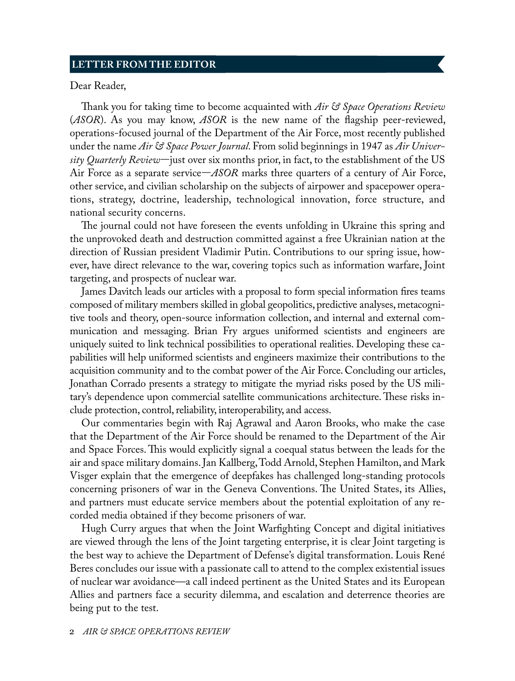## **LETTER FROM THE EDITOR**

Dear Reader,

Thank you for taking time to become acquainted with *Air & Space Operations Review* (*ASOR*). As you may know, *ASOR* is the new name of the flagship peer-reviewed, operations-focused journal of the Department of the Air Force, most recently published under the name *Air & Space Power Journal*. From solid beginnings in 1947 as *Air University Quarterly Review*—just over six months prior, in fact, to the establishment of the US Air Force as a separate service—*ASOR* marks three quarters of a century of Air Force, other service, and civilian scholarship on the subjects of airpower and spacepower operations, strategy, doctrine, leadership, technological innovation, force structure, and national security concerns.

The journal could not have foreseen the events unfolding in Ukraine this spring and the unprovoked death and destruction committed against a free Ukrainian nation at the direction of Russian president Vladimir Putin. Contributions to our spring issue, however, have direct relevance to the war, covering topics such as information warfare, Joint targeting, and prospects of nuclear war.

James Davitch leads our articles with a proposal to form special information fires teams composed of military members skilled in global geopolitics, predictive analyses, metacognitive tools and theory, open-source information collection, and internal and external communication and messaging. Brian Fry argues uniformed scientists and engineers are uniquely suited to link technical possibilities to operational realities. Developing these capabilities will help uniformed scientists and engineers maximize their contributions to the acquisition community and to the combat power of the Air Force. Concluding our articles, Jonathan Corrado presents a strategy to mitigate the myriad risks posed by the US military's dependence upon commercial satellite communications architecture. These risks include protection, control, reliability, interoperability, and access.

Our commentaries begin with Raj Agrawal and Aaron Brooks, who make the case that the Department of the Air Force should be renamed to the Department of the Air and Space Forces. This would explicitly signal a coequal status between the leads for the air and space military domains. Jan Kallberg, Todd Arnold, Stephen Hamilton, and Mark Visger explain that the emergence of deepfakes has challenged long-standing protocols concerning prisoners of war in the Geneva Conventions. The United States, its Allies, and partners must educate service members about the potential exploitation of any recorded media obtained if they become prisoners of war.

<span id="page-0-0"></span>Hugh Curry argues that when the Joint Warfighting Concept and digital initiatives are viewed through the lens of the Joint targeting enterprise, it is clear Joint targeting is the best way to achieve the Department of Defense's digital transformation. Louis René Beres concludes our issue with a passionate call to attend to the complex existential issues of nuclear war avoidance—a call indeed pertinent as the United States and its European Allies and partners face a security dilemma, and escalation and deterrence theories are being put to the test.